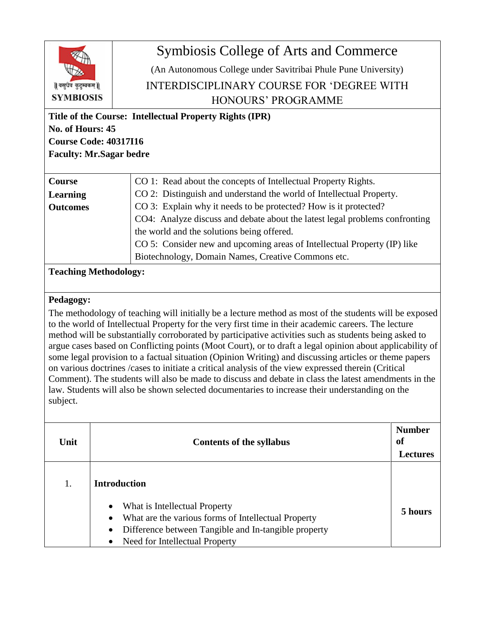

## Symbiosis College of Arts and Commerce

(An Autonomous College under Savitribai Phule Pune University) INTERDISCIPLINARY COURSE FOR 'DEGREE WITH HONOURS' PROGRAMME

**Title of the Course: Intellectual Property Rights (IPR) No. of Hours: 45 Course Code: 40317I16 Faculty: Mr.Sagar bedre**

| Course          | CO 1: Read about the concepts of Intellectual Property Rights.              |
|-----------------|-----------------------------------------------------------------------------|
| <b>Learning</b> | CO 2: Distinguish and understand the world of Intellectual Property.        |
| <b>Outcomes</b> | CO 3: Explain why it needs to be protected? How is it protected?            |
|                 | CO4: Analyze discuss and debate about the latest legal problems confronting |
|                 | the world and the solutions being offered.                                  |
|                 | CO 5: Consider new and upcoming areas of Intellectual Property (IP) like    |
|                 | Biotechnology, Domain Names, Creative Commons etc.                          |

**Teaching Methodology:** 

## **Pedagogy:**

The methodology of teaching will initially be a lecture method as most of the students will be exposed to the world of Intellectual Property for the very first time in their academic careers. The lecture method will be substantially corroborated by participative activities such as students being asked to argue cases based on Conflicting points (Moot Court), or to draft a legal opinion about applicability of some legal provision to a factual situation (Opinion Writing) and discussing articles or theme papers on various doctrines /cases to initiate a critical analysis of the view expressed therein (Critical Comment). The students will also be made to discuss and debate in class the latest amendments in the law. Students will also be shown selected documentaries to increase their understanding on the subject.

| Unit | <b>Contents of the syllabus</b>                                                                                                                                                                                                    | <b>Number</b><br><sub>of</sub><br><b>Lectures</b> |
|------|------------------------------------------------------------------------------------------------------------------------------------------------------------------------------------------------------------------------------------|---------------------------------------------------|
| 1.   | <b>Introduction</b>                                                                                                                                                                                                                |                                                   |
|      | What is Intellectual Property<br>$\bullet$<br>What are the various forms of Intellectual Property<br>$\bullet$<br>Difference between Tangible and In-tangible property<br>$\bullet$<br>Need for Intellectual Property<br>$\bullet$ | 5 hours                                           |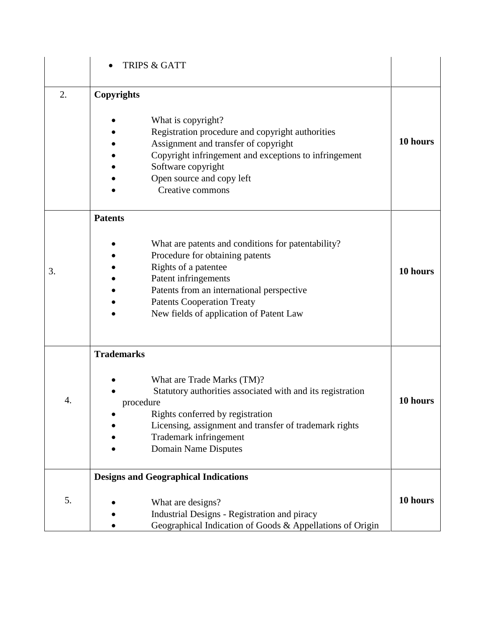|    | <b>TRIPS &amp; GATT</b>                                                                                                                                                                                                                                                              |          |
|----|--------------------------------------------------------------------------------------------------------------------------------------------------------------------------------------------------------------------------------------------------------------------------------------|----------|
| 2. | Copyrights<br>What is copyright?<br>Registration procedure and copyright authorities<br>Assignment and transfer of copyright<br>Copyright infringement and exceptions to infringement<br>Software copyright<br>Open source and copy left<br>Creative commons                         | 10 hours |
| 3. | <b>Patents</b><br>What are patents and conditions for patentability?<br>Procedure for obtaining patents<br>Rights of a patentee<br>Patent infringements<br>Patents from an international perspective<br><b>Patents Cooperation Treaty</b><br>New fields of application of Patent Law | 10 hours |
| 4. | <b>Trademarks</b><br>What are Trade Marks (TM)?<br>Statutory authorities associated with and its registration<br>procedure<br>Rights conferred by registration<br>Licensing, assignment and transfer of trademark rights<br>Trademark infringement<br><b>Domain Name Disputes</b>    | 10 hours |
| 5. | <b>Designs and Geographical Indications</b><br>What are designs?<br>Industrial Designs - Registration and piracy<br>Geographical Indication of Goods & Appellations of Origin                                                                                                        | 10 hours |